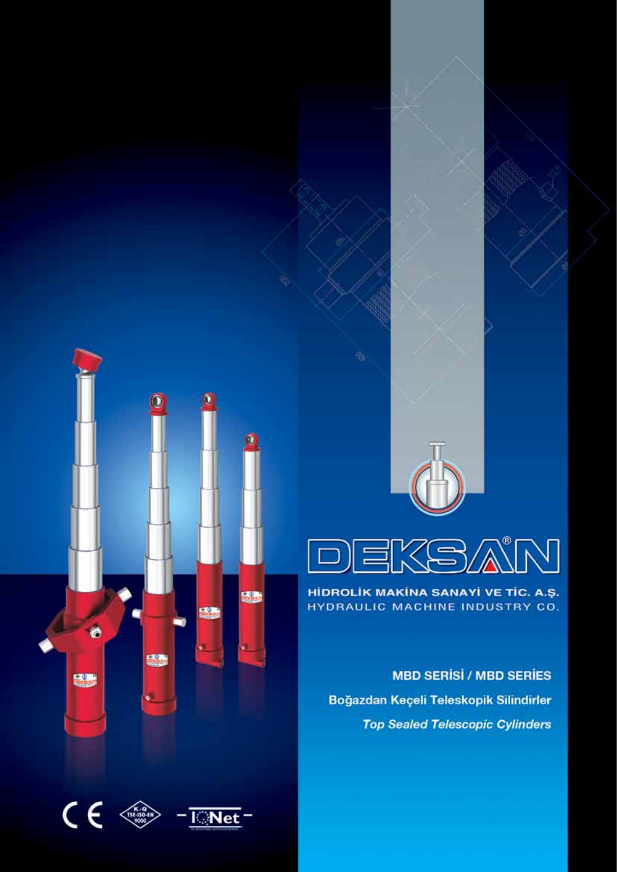



HİDROLİK MAKİNA SANAYİ VE TİC. A.Ş. HYDRAULIC MACHINE INDUSTRY CO.

**MBD SERISI / MBD SERIES** Boğazdan Keçeli Teleskopik Silindirler **Top Sealed Telescopic Cylinders** 



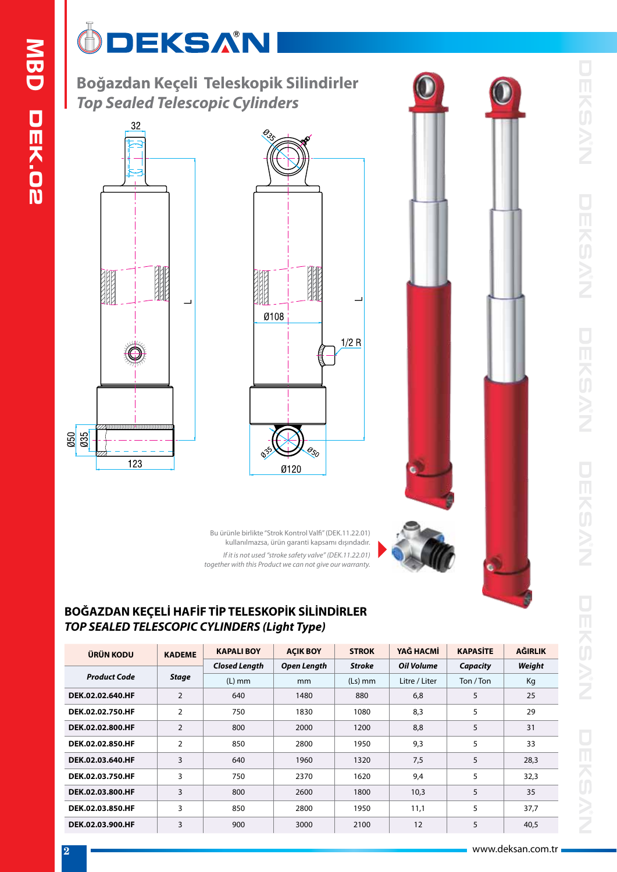# ÔDEKSAN

**Boğazdan Keçeli Teleskopik Silindirler** *Top Sealed Telescopic Cylinders*







Bu ürünle birlikte "Strok Kontrol Valfi" (DEK.11.22.01) kullanılmazsa, ürün garanti kapsamı dışındadır. *If it is not used "stroke safety valve" (DEK.11.22.01) together with this Product we can not give our warranty.*

### **BOĞAZDAN KEÇELİ HAFİF TİP TELESKOPİK SİLİNDİRLER** *TOP SEALED TELESCOPIC CYLINDERS (Light Type)*

| ÜRÜN KODU           | <b>KADEME</b>  | <b>KAPALIBOY</b>     | <b>ACIK BOY</b> | <b>STROK</b>  | YAĞ HACMİ         | <b>KAPASITE</b> | AĞIRLIK |
|---------------------|----------------|----------------------|-----------------|---------------|-------------------|-----------------|---------|
|                     |                | <b>Closed Length</b> | Open Length     | <b>Stroke</b> | <b>Oil Volume</b> | Capacity        | Weight  |
| <b>Product Code</b> | <b>Stage</b>   | $(L)$ mm             | mm              | $(Ls)$ mm     | Litre / Liter     | Ton / Ton       | Kg      |
| DEK.02.02.640.HF    | $\overline{2}$ | 640                  | 1480            | 880           | 6,8               | 5               | 25      |
| DEK.02.02.750.HF    | $\overline{2}$ | 750                  | 1830            | 1080          | 8,3               | 5               | 29      |
| DEK.02.02.800.HF    | $\overline{2}$ | 2000<br>1200<br>800  |                 |               | 8,8               | 5               | 31      |
| DEK.02.02.850.HF    | $\overline{2}$ | 850                  | 2800            | 1950          | 9,3               | 5               | 33      |
| DEK.02.03.640.HF    | 3              | 640                  | 1960            | 1320          | 7,5               | 5               | 28,3    |
| DEK.02.03.750.HF    | 3              | 750                  | 2370            | 1620          | 9,4               | 5               | 32,3    |
| DEK.02.03.800.HF    | 3              | 800                  | 2600            | 1800          | 10,3              | 5               | 35      |
| DEK.02.03.850.HF    | 3              | 850                  | 2800            | 1950          | 11,1              | 5               | 37,7    |
| DEK.02.03.900.HF    | 3              | 900                  | 3000            | 2100          | 12                | 5               | 40,5    |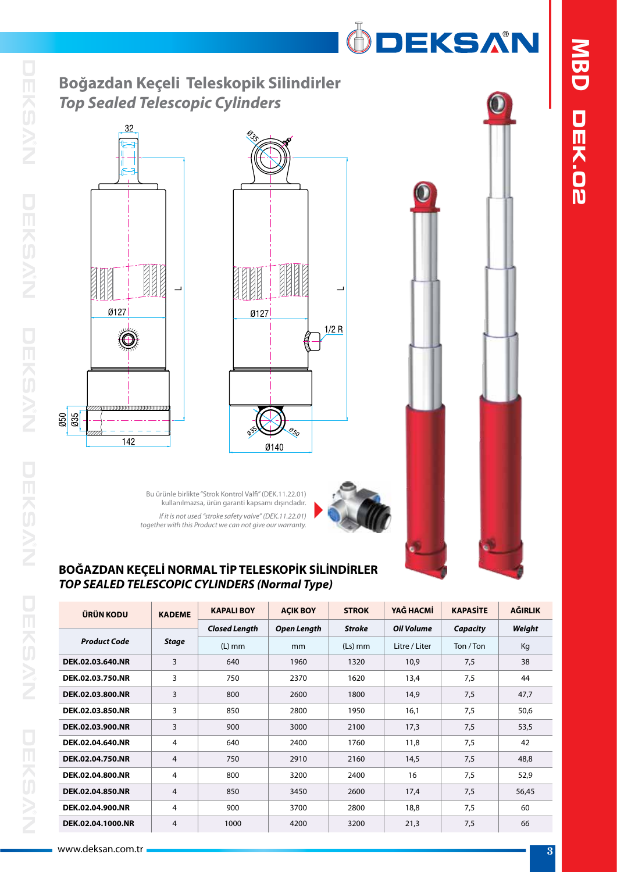

## **Boğazdan Keçeli Teleskopik Silindirler** *Top Sealed Telescopic Cylinders*







Bu ürünle birlikte "Strok Kontrol Valfi" (DEK.11.22.01) kullanılmazsa, ürün garanti kapsamı dışındadır. *If it is not used "stroke safety valve" (DEK.11.22.01) together with this Product we can not give our warranty.*



### **BOĞAZDAN KEÇELİ NORMAL TİP TELESKOPİK SİLİNDİRLER** *TOP SEALED TELESCOPIC CYLINDERS (Normal Type)*

| ÜRÜN KODU           | <b>KADEME</b> | <b>KAPALI BOY</b>    | <b>AÇIK BOY</b> | <b>STROK</b>  | YAĞ HACMİ     | <b>KAPASİTE</b> | <b>AĞIRLIK</b> |
|---------------------|---------------|----------------------|-----------------|---------------|---------------|-----------------|----------------|
|                     |               | <b>Closed Length</b> | Open Length     | <b>Stroke</b> | Oil Volume    | Capacity        | Weight         |
| <b>Product Code</b> | <b>Stage</b>  | $(L)$ mm             | mm              | $(Ls)$ mm     | Litre / Liter | Ton / Ton       | Kg             |
| DEK.02.03.640.NR    | 3             | 640                  | 1960            | 1320          | 10,9          | 7,5             | 38             |
| DEK.02.03.750.NR    | 3             | 750                  | 2370            | 1620          | 13,4          | 7,5             | 44             |
| DEK.02.03.800.NR    | 3             | 800                  | 2600            | 1800          | 14,9          | 7,5             | 47,7           |
| DEK.02.03.850.NR    | 3             | 850                  | 2800            | 1950          | 16,1          | 7,5             | 50,6           |
| DEK.02.03.900.NR    | 3             | 900                  | 3000            | 2100          | 17,3          | 7,5             | 53,5           |
| DEK.02.04.640.NR    | 4             | 640                  | 2400            | 1760          | 11,8          | 7,5             | 42             |
| DEK.02.04.750.NR    | 4             | 750                  | 2910            | 2160          | 14,5          | 7,5             | 48,8           |
| DEK.02.04.800.NR    | 4             | 800                  | 3200            | 2400          | 16            | 7,5             | 52,9           |
| DEK.02.04.850.NR    | 4             | 850                  | 3450            | 2600          | 17,4          | 7,5             | 56,45          |
| DEK.02.04.900.NR    | 4             | 900<br>3700          |                 | 2800          | 18,8          | 7,5             | 60             |
| DEK.02.04.1000.NR   | 4             | 1000                 | 4200            | 3200          | 21,3          | 7,5             | 66             |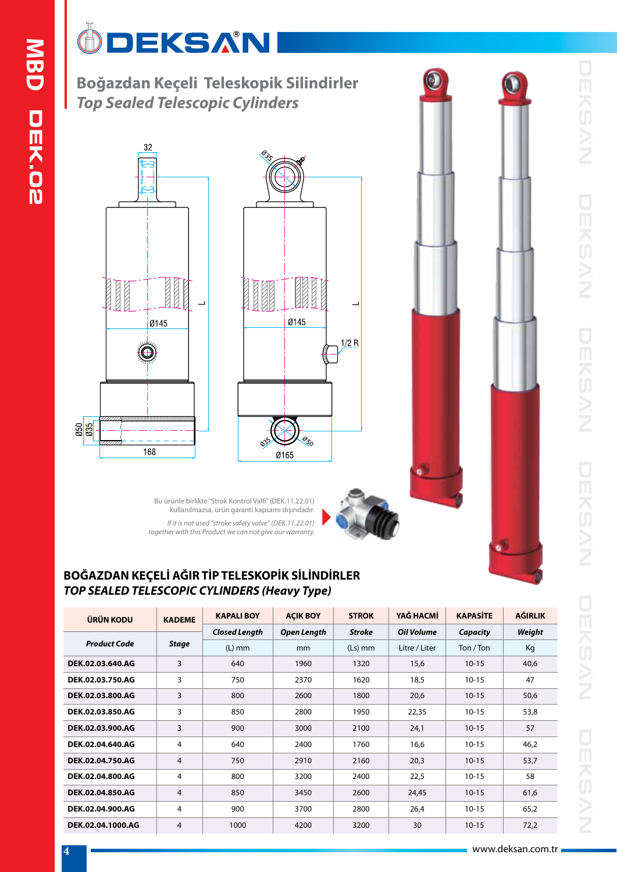# ÖDEKSAN

**Boğazdan Keçeli Teleskopik Silindirler** *Top Sealed Telescopic Cylinders*





Bu ürünle birlikte "Strok Kontrol Valfi" (DEK.11.22.01) kullanılmazsa, ürün garanti kapsamı dışındadır. *If it is not used "stroke safety valve" (DEK.11.22.01) together with this Product we can not give our warranty.*

### **BOĞAZDAN KEÇELİ AĞIR TİP TELESKOPİK SİLİNDİRLER** *TOP SEALED TELESCOPIC CYLINDERS (Heavy Type)*

| ÜRÜN KODU           | <b>KADEME</b> | <b>KAPALI BOY</b>    | <b>ACIK BOY</b> | <b>STROK</b>  | YAĞ HACMİ     | <b>KAPASITE</b> | <b>AĞIRLIK</b> |
|---------------------|---------------|----------------------|-----------------|---------------|---------------|-----------------|----------------|
|                     |               | <b>Closed Length</b> | Open Length     | <b>Stroke</b> | Oil Volume    | Capacity        | Weight         |
| <b>Product Code</b> | <b>Stage</b>  | $(L)$ mm             | mm              | $(Ls)$ mm     | Litre / Liter | Ton / Ton       | Kg             |
| DEK.02.03.640.AG    | 3             | 640                  | 1960            | 1320          | 15,6          | $10 - 15$       | 40,6           |
| DEK.02.03.750.AG    | 3             | 750                  | 2370            | 1620          | 18,5          | $10 - 15$       | 47             |
| DEK.02.03.800.AG    | 3             | 800                  | 2600            | 1800          | 20,6          | $10 - 15$       | 50,6           |
| DEK.02.03.850.AG    | 3             | 850<br>2800<br>1950  |                 | 22,35         | $10 - 15$     | 53,8            |                |
| DEK.02.03.900.AG    | 3             | 900<br>3000<br>2100  |                 | 24,1          | $10 - 15$     | 57              |                |
| DEK.02.04.640.AG    | 4             | 640                  | 2400            | 1760          | 16.6          | $10 - 15$       | 46,2           |
| DEK.02.04.750.AG    | 4             | 750                  | 2910            | 2160          | 20,3          | $10 - 15$       | 53,7           |
| DEK.02.04.800.AG    | 4             | 800                  | 3200            | 2400          | 22,5          | $10 - 15$       | 58             |
| DEK.02.04.850.AG    | 4             | 850                  | 3450            | 2600          | 24,45         | $10 - 15$       | 61,6           |
| DEK.02.04.900.AG    | 4             | 900                  | 3700            | 2800          | 26,4          | $10 - 15$       | 65,2           |
| DEK.02.04.1000.AG   | 4             | 1000                 | 4200            | 3200          | 30            | $10 - 15$       | 72,2           |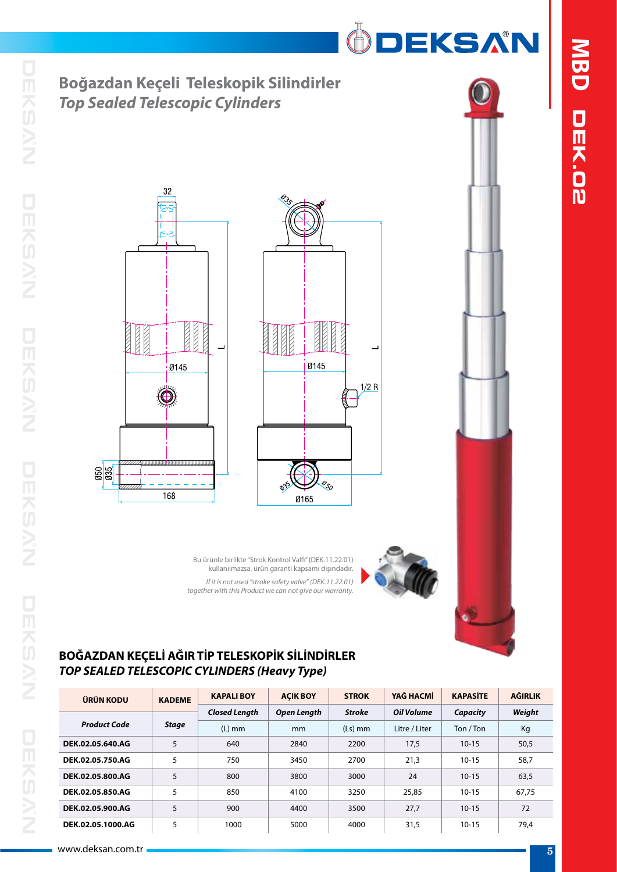









ÖDEKSAN

Bu ürünle birlikte "Strok Kontrol Valfi" (DEK.11.22.01) kullanılmazsa, ürün garanti kapsamı dışındadır. *If it is not used "stroke safety valve" (DEK.11.22.01) together with this Product we can not give our warranty.*

#### **BOĞAZDAN KEÇELİ AĞIR TİP TELESKOPİK SİLİNDİRLER** *TOP SEALED TELESCOPIC CYLINDERS (Heavy Type)*

| ÜRÜN KODU           | <b>KADEME</b> | <b>KAPALIBOY</b>     | <b>ACIK BOY</b> | <b>STROK</b>  | YAĞ HACMİ         | <b>KAPASITE</b> | AĞIRLIK |
|---------------------|---------------|----------------------|-----------------|---------------|-------------------|-----------------|---------|
|                     |               | <b>Closed Length</b> | Open Length     | <b>Stroke</b> | <b>Oil Volume</b> | Capacity        | Weight  |
| <b>Product Code</b> | <b>Stage</b>  | $(L)$ mm             | <sub>mm</sub>   | $(Ls)$ mm     | Litre / Liter     | Ton / Ton       | Kg      |
| DEK.02.05.640.AG    | 5             | 640                  | 2840            | 2200          | 17,5              | $10 - 15$       | 50,5    |
| DEK.02.05.750.AG    | 5             | 750                  | 3450            | 2700          | 21,3              | $10 - 15$       | 58,7    |
| DEK.02.05.800.AG    | 5             | 800                  | 3800            | 3000          | 24                | $10 - 15$       | 63.5    |
| DEK.02.05.850.AG    | 5             | 850                  | 4100            | 3250          | 25,85             | $10 - 15$       | 67.75   |
| DEK.02.05.900.AG    | 5             | 900                  | 4400            | 3500          | 27.7              | $10 - 15$       | 72      |
| DEK.02.05.1000.AG   | 5             | 1000                 | 5000            | 4000          | 31,5              | $10 - 15$       | 79.4    |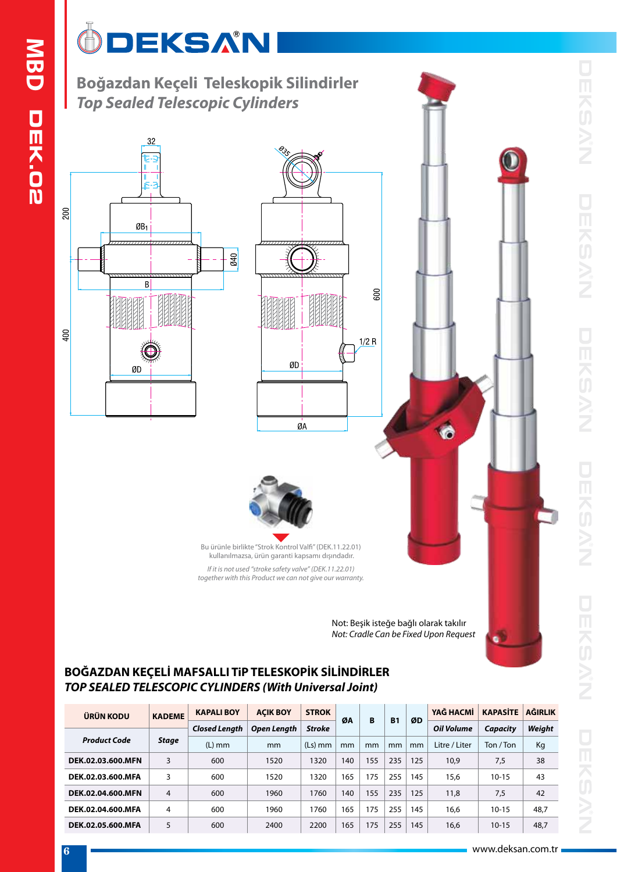# ÔDEKSAN

**Boğazdan Keçeli Teleskopik Silindirler** *Top Sealed Telescopic Cylinders*







Bu ürünle birlikte "Strok Kontrol Valfi" (DEK.11.22.01) kullanılmazsa, ürün garanti kapsamı dışındadır. *If it is not used "stroke safety valve" (DEK.11.22.01)*

*together with this Product we can not give our warranty.*

Not: Beşik isteğe bağlı olarak takılır *Not: Cradle Can be Fixed Upon Request*

Ġ

### **BOĞAZDAN KEÇELİ MAFSALLI TiP TELESKOPİK SİLİNDİRLER** *TOP SEALED TELESCOPIC CYLINDERS (With Universal Joint)*

| ÜRÜN KODU           | <b>KADEME</b> | <b>KAPALI BOY</b>    | <b>ACIK BOY</b> | <b>STROK</b><br>ØA |     | B   | <b>B1</b> | ØD  | YAĞ HACMİ         | <b>KAPASITE</b> | <b>AĞIRLIK</b> |
|---------------------|---------------|----------------------|-----------------|--------------------|-----|-----|-----------|-----|-------------------|-----------------|----------------|
|                     |               | <b>Closed Length</b> | Open Length     | <b>Stroke</b>      |     |     |           |     | <b>Oil Volume</b> | Capacity        | Weight         |
| <b>Product Code</b> | <b>Stage</b>  | $(L)$ mm             | mm              | $(Ls)$ mm          | mm  | mm  | mm        | mm  | Litre / Liter     | Ton / Ton       | Kg             |
| DEK.02.03.600.MFN   | 3             | 600                  | 1520            | 1320               |     | 155 | 235       | 125 | 10,9              | 7,5             | 38             |
| DEK.02.03.600.MFA   | 3             | 600                  | 1520            | 1320               | 165 | 175 | 255       | 145 | 15,6              | $10 - 15$       | 43             |
| DEK.02.04.600.MFN   | 4             | 600                  | 1960            | 1760               | 140 | 155 | 235       | 125 | 11,8              | 7,5             | 42             |
| DEK.02.04.600.MFA   | 4             | 600                  | 1960            | 1760               | 165 | 175 | 255       | 145 | 16,6              | $10 - 15$       | 48,7           |
| DEK.02.05.600.MFA   | 5             | 600                  | 2400            | 2200               | 165 | 175 | 255       | 145 | 16,6              | $10 - 15$       | 48,7           |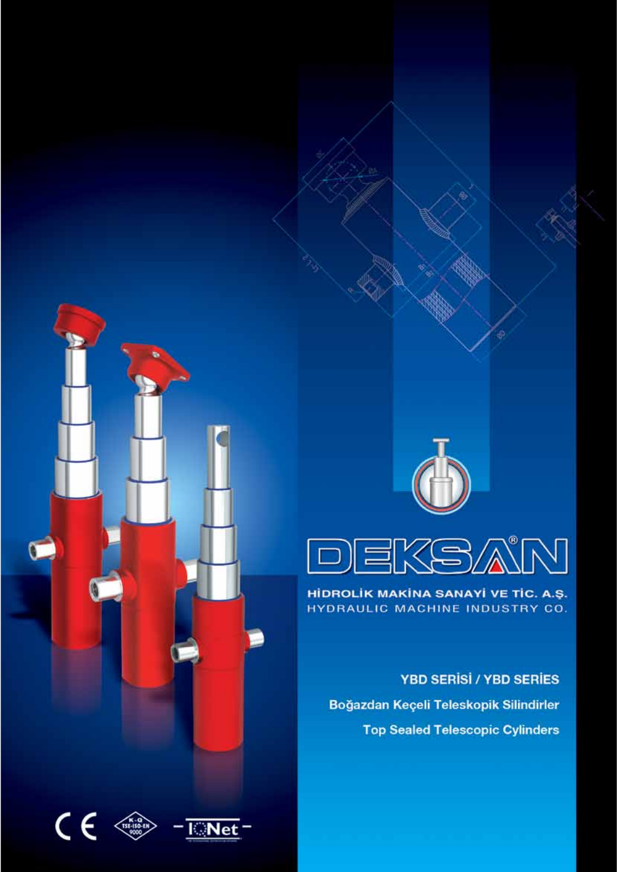

### HİDROLİK MAKİNA SANAYİ VE TİC. A.Ş. HYDRAULIC MACHINE INDUSTRY CO.

**YBD SERISI / YBD SERIES** Boğazdan Keçeli Teleskopik Silindirler **Top Sealed Telescopic Cylinders** 



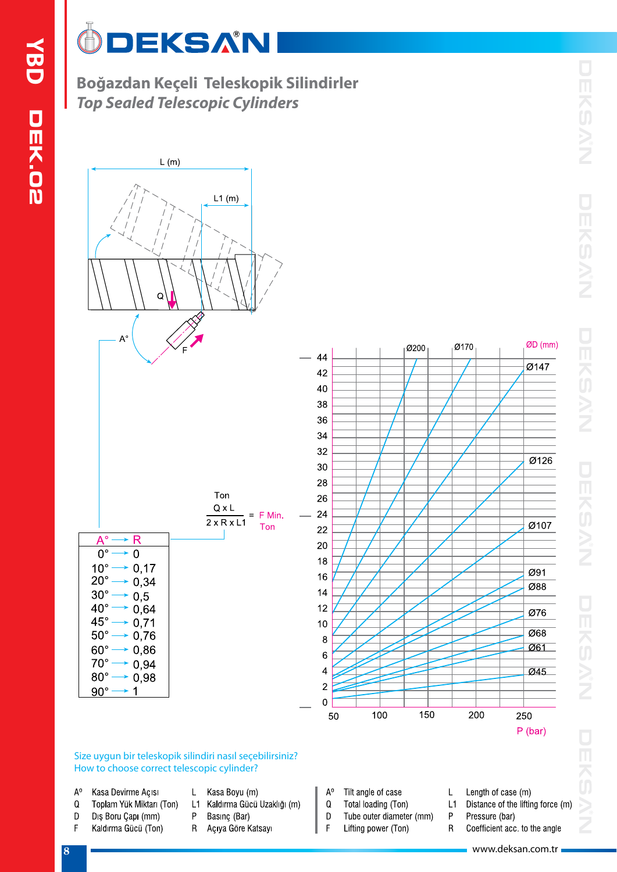### $\mathbb{G}$ **DEKSAN**

Boğazdan Keçeli Teleskopik Silindirler **Top Sealed Telescopic Cylinders** 



#### Size uygun bir teleskopik silindiri nasıl seçebilirsiniz? How to choose correct telescopic cylinder?

- $A^0$ Kasa Devirme Açısı
- Q Toplam Yük Miktarı (Ton)
- Diş Boru Çapı (mm) D
- F Kaldırma Gücü (Ton)
- Kasa Boyu (m) L
- L1 Kaldırma Gücü Uzaklığı (m)
- P Basınç (Bar)
- $R_{\odot}$ Açıya Göre Katsayı
- $A^0$ Tilt angle of case
- $\mathsf Q$ Total loading (Ton)
- D Tube outer diameter (mm)  $\mathsf F$ 
	- Lifting power (Ton)
- $\mathsf{L}% _{\mathcal{A}}^{\alpha}(\mathcal{A})\equiv\mathsf{L}_{\mathcal{A}}^{\alpha}(\mathcal{A})$ Length of case (m)
- $L1$ Distance of the lifting force (m)
- P Pressure (bar)  $\mathsf{R}$ Coefficient acc. to the angle
	- www.deksan.com.tr =

 $\vert 8$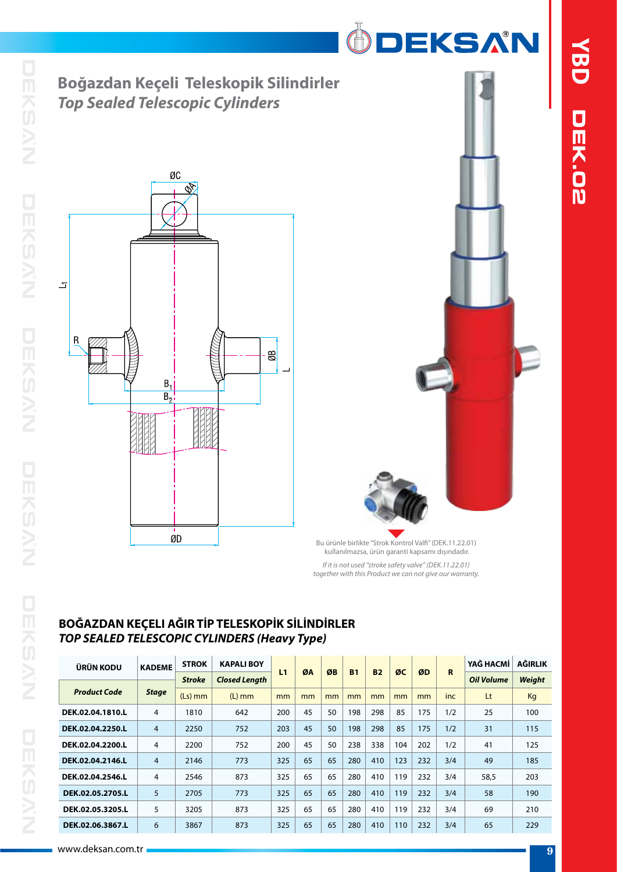



Bu ürünle birlikte "Strok Kontrol Valfi" (DEK.11.22.01) kullanılmazsa, ürün garanti kapsamı dışındadır. *If it is not used "stroke safety valve" (DEK.11.22.01) together with this Product we can not give our warranty.*

### **BOĞAZDAN KEÇELI AĞIR TİP TELESKOPİK SİLİNDİRLER** *TOP SEALED TELESCOPIC CYLINDERS (Heavy Type)*

| ÜRÜN KODU           | <b>KADEME</b> | <b>STROK</b>  | <b>KAPALI BOY</b>    | L1  | ØA | ØB | <b>B1</b> | <b>B2</b> | ØC  | ØD  | R   | YAĞ HACMİ         | <b>AĞIRLIK</b> |
|---------------------|---------------|---------------|----------------------|-----|----|----|-----------|-----------|-----|-----|-----|-------------------|----------------|
|                     |               | <b>Stroke</b> | <b>Closed Length</b> |     |    |    |           |           |     |     |     | <b>Oil Volume</b> | <b>Weight</b>  |
| <b>Product Code</b> | <b>Stage</b>  | $(Ls)$ mm     | $(L)$ mm             | mm  | mm | mm | mm        | mm        | mm  | mm  | inc | Lt                | Kg             |
| DEK.02.04.1810.L    | 4             | 1810          | 642                  | 200 | 45 | 50 | 198       | 298       | 85  | 175 | 1/2 | 25                | 100            |
| DEK.02.04.2250.L    | 4             | 2250          | 752                  | 203 | 45 | 50 | 198       | 298       | 85  | 175 | 1/2 | 31                | 115            |
| DEK.02.04.2200.L    | 4             | 2200          | 752                  | 200 | 45 | 50 | 238       | 338       | 104 | 202 | 1/2 | 41                | 125            |
| DEK.02.04.2146.L    | 4             | 2146          | 773                  | 325 | 65 | 65 | 280       | 410       | 123 | 232 | 3/4 | 49                | 185            |
| DEK.02.04.2546.L    | 4             | 2546          | 873                  | 325 | 65 | 65 | 280       | 410       | 119 | 232 | 3/4 | 58.5              | 203            |
| DEK.02.05.2705.L    | 5             | 2705          | 773                  | 325 | 65 | 65 | 280       | 410       | 119 | 232 | 3/4 | 58                | 190            |
| DEK.02.05.3205.L    | 5             | 3205          | 873                  | 325 | 65 | 65 | 280       | 410       | 119 | 232 | 3/4 | 69                | 210            |
| DEK.02.06.3867.L    | 6             | 3867          | 873                  | 325 | 65 | 65 | 280       | 410       | 110 | 232 | 3/4 | 65                | 229            |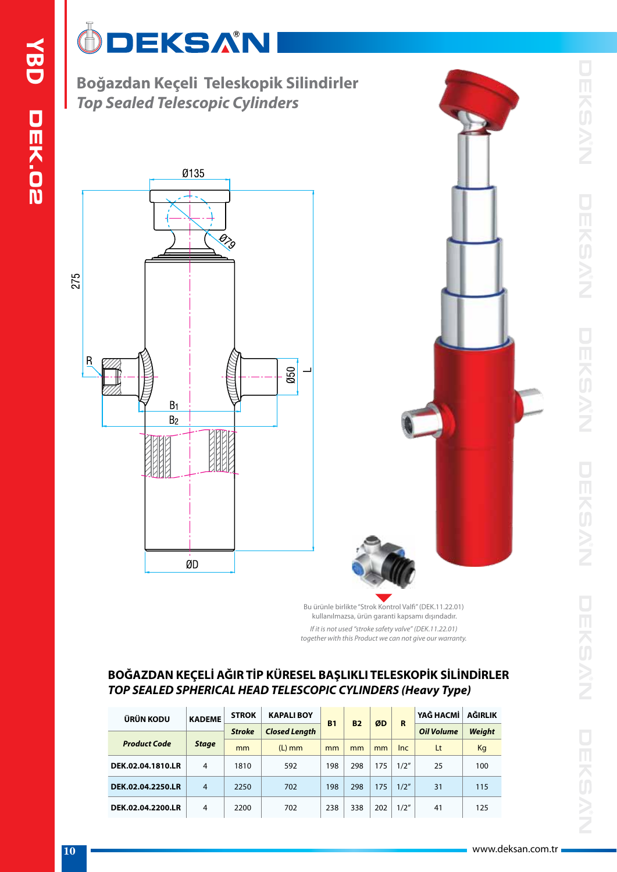# ÔDEKSAN

**Boğazdan Keçeli Teleskopik Silindirler** *Top Sealed Telescopic Cylinders*





Bu ürünle birlikte "Strok Kontrol Valfi" (DEK.11.22.01) kullanılmazsa, ürün garanti kapsamı dışındadır.

*If it is not used "stroke safety valve" (DEK.11.22.01) together with this Product we can not give our warranty.*

### **BOĞAZDAN KEÇELİ AĞIR TİP KÜRESEL BAŞLIKLI TELESKOPİK SİLİNDİRLER** *TOP SEALED SPHERICAL HEAD TELESCOPIC CYLINDERS (Heavy Type)*

| ÜRÜN KODU           | <b>KADEME</b>  | <b>STROK</b>  | <b>KAPALIBOY</b>     | <b>B1</b> | <b>B2</b> | ØD  | R    | YAĞ HACMİ         | AĞIRLIK       |
|---------------------|----------------|---------------|----------------------|-----------|-----------|-----|------|-------------------|---------------|
|                     |                | <b>Stroke</b> | <b>Closed Length</b> |           |           |     |      | <b>Oil Volume</b> | <b>Weight</b> |
| <b>Product Code</b> | <b>Stage</b>   | mm            | $(L)$ mm             | mm        | mm        | mm  | Inc. | Lt                | Kg            |
| DEK.02.04.1810.LR   | 4              | 1810          | 592                  | 198       | 298       | 175 | 1/2" | 25                | 100           |
| DEK.02.04.2250.LR   | $\overline{4}$ | 2250          | 702                  | 198       | 298       | 175 | 1/2" | 31                | 115           |
| DEK.02.04.2200.LR   | 4              | 2200          | 702                  | 238       | 338       | 202 | 1/2" | 41                | 125           |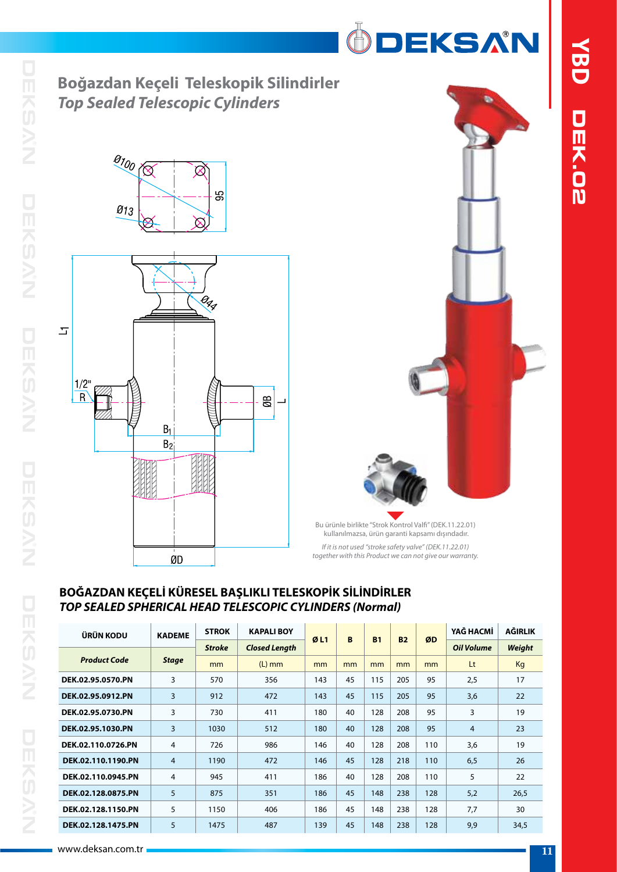## **Boğazdan Keçeli Teleskopik Silindirler** *Top Sealed Telescopic Cylinders*





ÖDEKSAN

Bu ürünle birlikte "Strok Kontrol Valfi" (DEK.11.22.01) kullanılmazsa, ürün garanti kapsamı dışındadır. *If it is not used "stroke safety valve" (DEK.11.22.01) together with this Product we can not give our warranty.*

#### **BOĞAZDAN KEÇELİ KÜRESEL BAŞLIKLI TELESKOPİK SİLİNDİRLER** *TOP SEALED SPHERICAL HEAD TELESCOPIC CYLINDERS (Normal)*

| <b>ÜRÜN KODU</b>    | <b>KADEME</b>  | <b>STROK</b><br><b>Stroke</b> | <b>KAPALI BOY</b>    |     | B  | <b>B1</b> | <b>B2</b> | ØD  | YAĞ HACMİ         | <b>AĞIRLIK</b> |
|---------------------|----------------|-------------------------------|----------------------|-----|----|-----------|-----------|-----|-------------------|----------------|
|                     |                |                               | <b>Closed Length</b> | ØL1 |    |           |           |     | <b>Oil Volume</b> | Weight         |
| <b>Product Code</b> | <b>Stage</b>   | mm                            | $(L)$ mm             | mm  | mm | mm        | mm        | mm  | Lt                | Kg             |
| DEK.02.95.0570.PN   | 3              | 570                           | 356                  | 143 | 45 | 115       | 205       | 95  | 2,5               | 17             |
| DEK.02.95.0912.PN   | 3              | 912                           | 472                  | 143 | 45 | 115       | 205       | 95  | 3,6               | 22             |
| DEK.02.95.0730.PN   | 3              | 730                           | 411                  | 180 | 40 | 128       | 208       | 95  | 3                 | 19             |
| DEK.02.95.1030.PN   | 3              | 1030                          | 512                  | 180 | 40 | 128       | 208       | 95  | 4                 | 23             |
| DEK.02.110.0726.PN  | $\overline{4}$ | 726                           | 986                  | 146 | 40 | 128       | 208       | 110 | 3,6               | 19             |
| DEK.02.110.1190.PN  | $\overline{4}$ | 1190                          | 472                  | 146 | 45 | 128       | 218       | 110 | 6,5               | 26             |
| DEK.02.110.0945.PN  | $\overline{4}$ | 945                           | 411                  | 186 | 40 | 128       | 208       | 110 | 5                 | 22             |
| DEK.02.128.0875.PN  | 5              | 875                           | 351                  | 186 | 45 | 148       | 238       | 128 | 5,2               | 26,5           |
| DEK.02.128.1150.PN  | 5              | 1150                          | 406                  | 186 | 45 | 148       | 238       | 128 | 7,7               | 30             |
| DEK.02.128.1475.PN  | 5              | 1475                          | 487                  | 139 | 45 | 148       | 238       | 128 | 9,9               | 34,5           |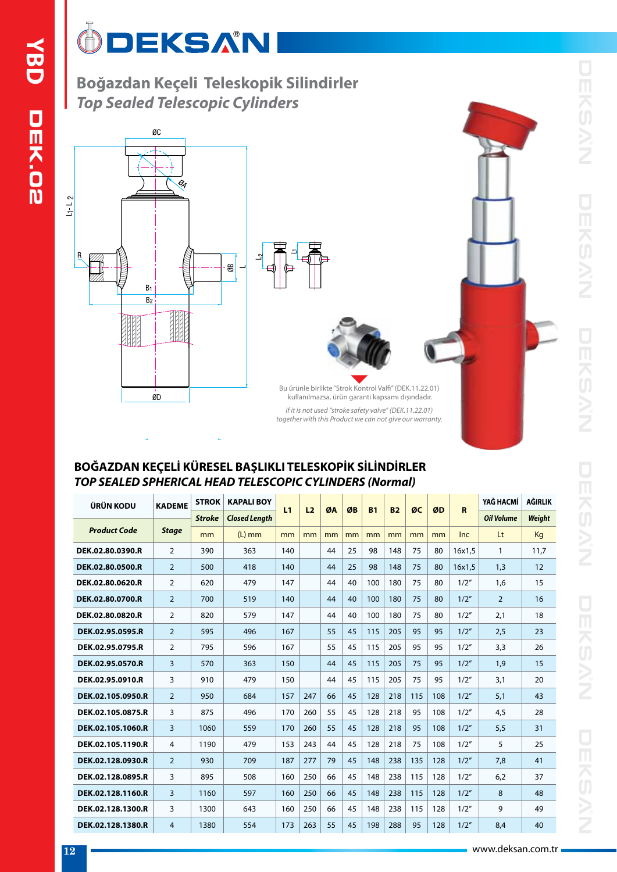### $\overline{\mathbb{G}}$ DEKSAN

**Boğazdan Keçeli Teleskopik Silindirler** *Top Sealed Telescopic Cylinders*





Bu ürünle birlikte "Strok Kontrol Valfi" (DEK.11.22.01) kullanılmazsa, ürün garanti kapsamı dışındadır. *If it is not used "stroke safety valve" (DEK.11.22.01) together with this Product we can not give our warranty.*

### **BOĞAZDAN KEÇELİ KÜRESEL BAŞLIKLI TELESKOPİK SİLİNDİRLER** *TOP SEALED SPHERICAL HEAD TELESCOPIC CYLINDERS (Normal)*

| ÜRÜN KODU           | <b>KADEME</b>  | <b>STROK</b>  | <b>KAPALI BOY</b>    |     |                |    |    |           |           |     |     |        | YAĞ HACMİ         | AĞIRLIK |
|---------------------|----------------|---------------|----------------------|-----|----------------|----|----|-----------|-----------|-----|-----|--------|-------------------|---------|
|                     |                | <b>Stroke</b> | <b>Closed Length</b> | L1  | L <sub>2</sub> | ØA | ØB | <b>B1</b> | <b>B2</b> | ØC  | ØD  | R      | <b>Oil Volume</b> | Weight  |
| <b>Product Code</b> | <b>Stage</b>   | mm            | $(L)$ mm             | mm  | mm             | mm | mm | mm        | mm        | mm  | mm  | Inc.   | Lt                | Kg      |
| DEK.02.80.0390.R    | 2              | 390           | 363                  | 140 |                | 44 | 25 | 98        | 148       | 75  | 80  | 16x1.5 | 1                 | 11.7    |
| DEK.02.80.0500.R    | $\overline{2}$ | 500           | 418                  | 140 |                | 44 | 25 | 98        | 148       | 75  | 80  | 16x1.5 | 1,3               | 12      |
| DEK.02.80.0620.R    | 2              | 620           | 479                  | 147 |                | 44 | 40 | 100       | 180       | 75  | 80  | 1/2"   | 1,6               | 15      |
| DEK.02.80.0700.R    | $\overline{2}$ | 700           | 519                  | 140 |                | 44 | 40 | 100       | 180       | 75  | 80  | 1/2"   | $\overline{2}$    | 16      |
| DEK.02.80.0820.R    | 2              | 820           | 579                  | 147 |                | 44 | 40 | 100       | 180       | 75  | 80  | 1/2"   | 2,1               | 18      |
| DEK.02.95.0595.R    | $\overline{2}$ | 595           | 496                  | 167 |                | 55 | 45 | 115       | 205       | 95  | 95  | 1/2"   | 2,5               | 23      |
| DEK.02.95.0795.R    | 2              | 795           | 596                  | 167 |                | 55 | 45 | 115       | 205       | 95  | 95  | 1/2"   | 3.3               | 26      |
| DEK.02.95.0570.R    | 3              | 570           | 363                  | 150 |                | 44 | 45 | 115       | 205       | 75  | 95  | 1/2"   | 1.9               | 15      |
| DEK.02.95.0910.R    | 3              | 910           | 479                  | 150 |                | 44 | 45 | 115       | 205       | 75  | 95  | 1/2"   | 3,1               | 20      |
| DEK.02.105.0950.R   | $\overline{2}$ | 950           | 684                  | 157 | 247            | 66 | 45 | 128       | 218       | 115 | 108 | 1/2"   | 5,1               | 43      |
| DEK.02.105.0875.R   | 3              | 875           | 496                  | 170 | 260            | 55 | 45 | 128       | 218       | 95  | 108 | 1/2"   | 4,5               | 28      |
| DEK.02.105.1060.R   | 3              | 1060          | 559                  | 170 | 260            | 55 | 45 | 128       | 218       | 95  | 108 | 1/2"   | 5,5               | 31      |
| DEK.02.105.1190.R   | 4              | 1190          | 479                  | 153 | 243            | 44 | 45 | 128       | 218       | 75  | 108 | 1/2"   | 5                 | 25      |
| DEK.02.128.0930.R   | $\overline{2}$ | 930           | 709                  | 187 | 277            | 79 | 45 | 148       | 238       | 135 | 128 | 1/2"   | 7.8               | 41      |
| DEK.02.128.0895.R   | 3              | 895           | 508                  | 160 | 250            | 66 | 45 | 148       | 238       | 115 | 128 | 1/2"   | 6,2               | 37      |
| DEK.02.128.1160.R   | $\overline{3}$ | 1160          | 597                  | 160 | 250            | 66 | 45 | 148       | 238       | 115 | 128 | 1/2"   | 8                 | 48      |
| DEK.02.128.1300.R   | 3              | 1300          | 643                  | 160 | 250            | 66 | 45 | 148       | 238       | 115 | 128 | 1/2"   | 9                 | 49      |
| DEK.02.128.1380.R   | 4              | 1380          | 554                  | 173 | 263            | 55 | 45 | 198       | 288       | 95  | 128 | 1/2"   | 8.4               | 40      |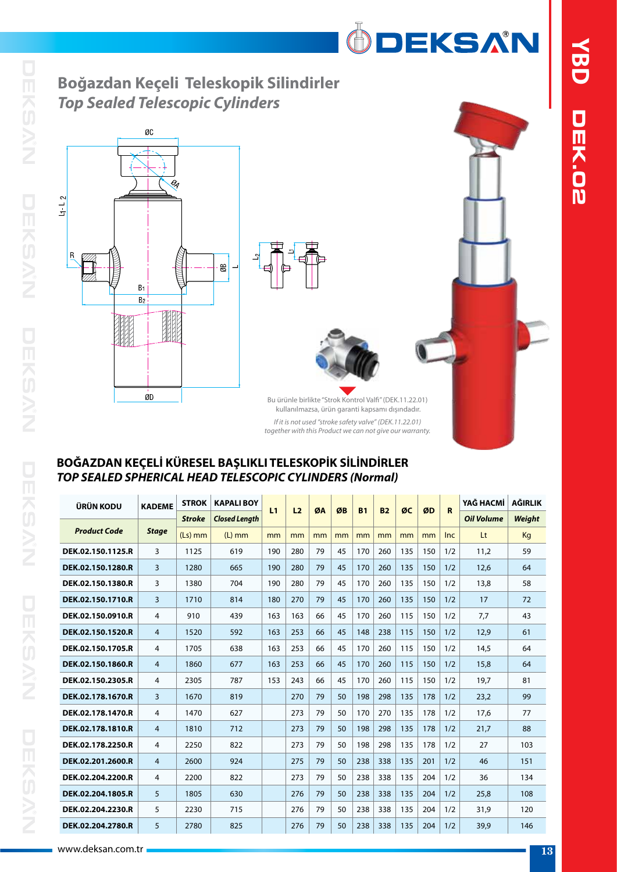ÖDEKSAN

# **Boğazdan Keçeli Teleskopik Silindirler** *Top Sealed Telescopic Cylinders*





Bu ürünle birlikte "Strok Kontrol Valfi" (DEK.11.22.01) kullanılmazsa, ürün garanti kapsamı dışındadır. *If it is not used "stroke safety valve" (DEK.11.22.01)*

*together with this Product we can not give our warranty.*

| ÜRÜN KODU           | <b>KADEME</b>  | <b>STROK</b>  | <b>KAPALI BOY</b>    | L1  | L <sub>2</sub> | ØA | ØB | <b>B1</b> | <b>B2</b> | ØC  | ØD  | $\mathbf R$ | YAĞ HACMİ         | <b>AĞIRLIK</b> |
|---------------------|----------------|---------------|----------------------|-----|----------------|----|----|-----------|-----------|-----|-----|-------------|-------------------|----------------|
|                     |                | <b>Stroke</b> | <b>Closed Length</b> |     |                |    |    |           |           |     |     |             | <b>Oil Volume</b> | <b>Weight</b>  |
| <b>Product Code</b> | <b>Stage</b>   | $(Ls)$ mm     | $(L)$ mm             | mm  | mm             | mm | mm | mm        | mm        | mm  | mm  | <b>Inc</b>  | Lt                | Kg             |
| DEK.02.150.1125.R   | 3              | 1125          | 619                  | 190 | 280            | 79 | 45 | 170       | 260       | 135 | 150 | 1/2         | 11.2              | 59             |
| DEK.02.150.1280.R   | 3              | 1280          | 665                  | 190 | 280            | 79 | 45 | 170       | 260       | 135 | 150 | 1/2         | 12,6              | 64             |
| DEK.02.150.1380.R   | 3              | 1380          | 704                  | 190 | 280            | 79 | 45 | 170       | 260       | 135 | 150 | 1/2         | 13,8              | 58             |
| DEK.02.150.1710.R   | 3              | 1710          | 814                  | 180 | 270            | 79 | 45 | 170       | 260       | 135 | 150 | 1/2         | 17                | 72             |
| DEK.02.150.0910.R   | 4              | 910           | 439                  | 163 | 163            | 66 | 45 | 170       | 260       | 115 | 150 | 1/2         | 7,7               | 43             |
| DEK.02.150.1520.R   | 4              | 1520          | 592                  | 163 | 253            | 66 | 45 | 148       | 238       | 115 | 150 | 1/2         | 12,9              | 61             |
| DEK.02.150.1705.R   | 4              | 1705          | 638                  | 163 | 253            | 66 | 45 | 170       | 260       | 115 | 150 | 1/2         | 14,5              | 64             |
| DEK.02.150.1860.R   | 4              | 1860          | 677                  | 163 | 253            | 66 | 45 | 170       | 260       | 115 | 150 | 1/2         | 15,8              | 64             |
| DEK.02.150.2305.R   | 4              | 2305          | 787                  | 153 | 243            | 66 | 45 | 170       | 260       | 115 | 150 | 1/2         | 19,7              | 81             |
| DEK.02.178.1670.R   | 3              | 1670          | 819                  |     | 270            | 79 | 50 | 198       | 298       | 135 | 178 | 1/2         | 23,2              | 99             |
| DEK.02.178.1470.R   | 4              | 1470          | 627                  |     | 273            | 79 | 50 | 170       | 270       | 135 | 178 | 1/2         | 17,6              | 77             |
| DEK.02.178.1810.R   | 4              | 1810          | 712                  |     | 273            | 79 | 50 | 198       | 298       | 135 | 178 | 1/2         | 21,7              | 88             |
| DEK.02.178.2250.R   | 4              | 2250          | 822                  |     | 273            | 79 | 50 | 198       | 298       | 135 | 178 | 1/2         | 27                | 103            |
| DEK.02.201.2600.R   | $\overline{4}$ | 2600          | 924                  |     | 275            | 79 | 50 | 238       | 338       | 135 | 201 | 1/2         | 46                | 151            |
| DEK.02.204.2200.R   | 4              | 2200          | 822                  |     | 273            | 79 | 50 | 238       | 338       | 135 | 204 | 1/2         | 36                | 134            |
| DEK.02.204.1805.R   | 5              | 1805          | 630                  |     | 276            | 79 | 50 | 238       | 338       | 135 | 204 | 1/2         | 25,8              | 108            |
| DEK.02.204.2230.R   | 5              | 2230          | 715                  |     | 276            | 79 | 50 | 238       | 338       | 135 | 204 | 1/2         | 31,9              | 120            |
| DEK.02.204.2780.R   | 5              | 2780          | 825                  |     | 276            | 79 | 50 | 238       | 338       | 135 | 204 | 1/2         | 39,9              | 146            |

### **BOĞAZDAN KEÇELİ KÜRESEL BAŞLIKLI TELESKOPİK SİLİNDİRLER** *TOP SEALED SPHERICAL HEAD TELESCOPIC CYLINDERS (Normal)*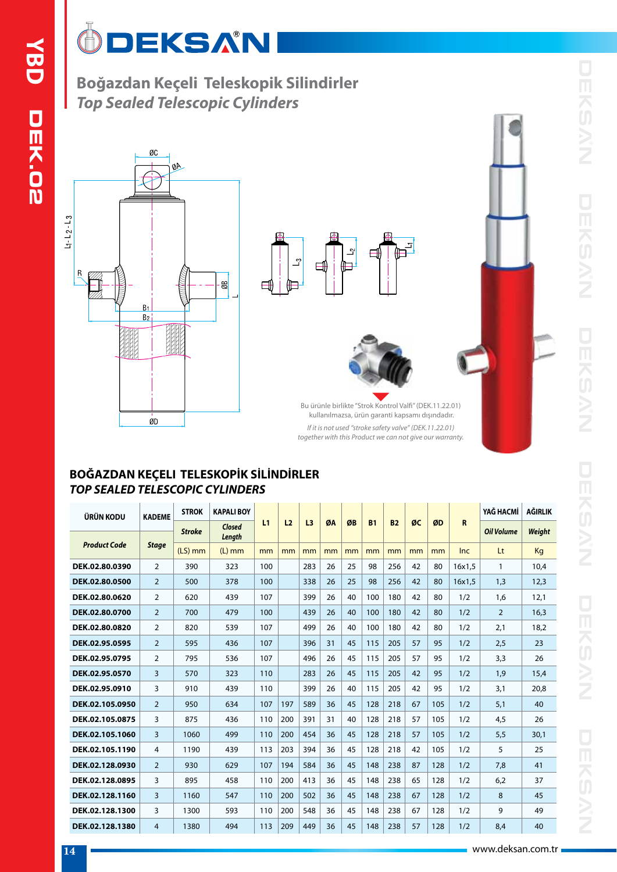### $\overline{\mathbb{O}}$ **DEKSAN**

**Boğazdan Keçeli Teleskopik Silindirler** *Top Sealed Telescopic Cylinders*







Bu ürünle birlikte "Strok Kontrol Valfi" (DEK.11.22.01) kullanılmazsa, ürün garanti kapsamı dışındadır. *If it is not used "stroke safety valve" (DEK.11.22.01) together with this Product we can not give our warranty.*

### **BOĞAZDAN KEÇELI TELESKOPİK SİLİNDİRLER** *TOP SEALED TELESCOPIC CYLINDERS*

| ÜRÜN KODU           | <b>KADEME</b>  | <b>STROK</b>  | <b>KAPALI BOY</b><br>L1<br><b>Closed</b> |     |                |                |    |    |           |           |    |     | YAĞ HACMİ  | AĞIRLIK           |               |
|---------------------|----------------|---------------|------------------------------------------|-----|----------------|----------------|----|----|-----------|-----------|----|-----|------------|-------------------|---------------|
|                     |                | <b>Stroke</b> | Length                                   |     | L <sub>2</sub> | L <sub>3</sub> | ØA | ØB | <b>B1</b> | <b>B2</b> | ØC | ØD  | R          | <b>Oil Volume</b> | <b>Weight</b> |
| <b>Product Code</b> | <b>Stage</b>   | $(LS)$ mm     | $(L)$ mm                                 | mm  | mm             | mm             | mm | mm | mm        | mm        | mm | mm  | <b>Inc</b> | Lt                | Kg            |
| DEK.02.80.0390      | 2              | 390           | 323                                      | 100 |                | 283            | 26 | 25 | 98        | 256       | 42 | 80  | 16x1.5     | 1                 | 10.4          |
| DEK.02.80.0500      | $\overline{2}$ | 500           | 378                                      | 100 |                | 338            | 26 | 25 | 98        | 256       | 42 | 80  | 16x1.5     | 1,3               | 12,3          |
| DEK.02.80.0620      | 2              | 620           | 439                                      | 107 |                | 399            | 26 | 40 | 100       | 180       | 42 | 80  | 1/2        | 1,6               | 12,1          |
| DEK.02.80.0700      | $\overline{2}$ | 700           | 479                                      | 100 |                | 439            | 26 | 40 | 100       | 180       | 42 | 80  | 1/2        | 2                 | 16,3          |
| DEK.02.80.0820      | 2              | 820           | 539                                      | 107 |                | 499            | 26 | 40 | 100       | 180       | 42 | 80  | 1/2        | 2,1               | 18,2          |
| DEK.02.95.0595      | $\overline{2}$ | 595           | 436                                      | 107 |                | 396            | 31 | 45 | 115       | 205       | 57 | 95  | 1/2        | 2,5               | 23            |
| DEK.02.95.0795      | 2              | 795           | 536                                      | 107 |                | 496            | 26 | 45 | 115       | 205       | 57 | 95  | 1/2        | 3,3               | 26            |
| DEK.02.95.0570      | 3              | 570           | 323                                      | 110 |                | 283            | 26 | 45 | 115       | 205       | 42 | 95  | 1/2        | 1,9               | 15.4          |
| DEK.02.95.0910      | 3              | 910           | 439                                      | 110 |                | 399            | 26 | 40 | 115       | 205       | 42 | 95  | 1/2        | 3,1               | 20.8          |
| DEK.02.105.0950     | $\overline{2}$ | 950           | 634                                      | 107 | 197            | 589            | 36 | 45 | 128       | 218       | 67 | 105 | 1/2        | 5,1               | 40            |
| DEK.02.105.0875     | 3              | 875           | 436                                      | 110 | 200            | 391            | 31 | 40 | 128       | 218       | 57 | 105 | 1/2        | 4,5               | 26            |
| DEK.02.105.1060     | 3              | 1060          | 499                                      | 110 | 200            | 454            | 36 | 45 | 128       | 218       | 57 | 105 | 1/2        | 5,5               | 30.1          |
| DEK.02.105.1190     | 4              | 1190          | 439                                      | 113 | 203            | 394            | 36 | 45 | 128       | 218       | 42 | 105 | 1/2        | 5                 | 25            |
| DEK.02.128.0930     | $\overline{2}$ | 930           | 629                                      | 107 | 194            | 584            | 36 | 45 | 148       | 238       | 87 | 128 | 1/2        | 7.8               | 41            |
| DEK.02.128.0895     | 3              | 895           | 458                                      | 110 | 200            | 413            | 36 | 45 | 148       | 238       | 65 | 128 | 1/2        | 6,2               | 37            |
| DEK.02.128.1160     | 3              | 1160          | 547                                      | 110 | 200            | 502            | 36 | 45 | 148       | 238       | 67 | 128 | 1/2        | 8                 | 45            |
| DEK.02.128.1300     | 3              | 1300          | 593                                      | 110 | 200            | 548            | 36 | 45 | 148       | 238       | 67 | 128 | 1/2        | 9                 | 49            |
| DEK.02.128.1380     | 4              | 1380          | 494                                      | 113 | 209            | 449            | 36 | 45 | 148       | 238       | 57 | 128 | 1/2        | 8,4               | 40            |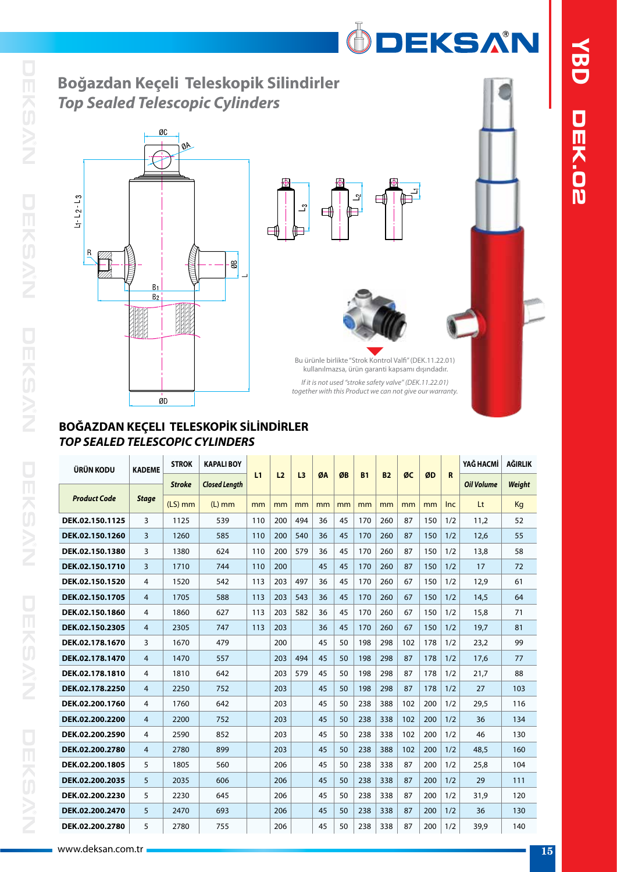# **Boğazdan Keçeli Teleskopik Silindirler** *Top Sealed Telescopic Cylinders*







ÖDEKSAN

Bu ürünle birlikte "Strok Kontrol Valfi" (DEK.11.22.01) kullanılmazsa, ürün garanti kapsamı dışındadır. *If it is not used "stroke safety valve" (DEK.11.22.01) together with this Product we can not give our warranty.*

### **BOĞAZDAN KEÇELI TELESKOPİK SİLİNDİRLER** *TOP SEALED TELESCOPIC CYLINDERS*

| ÜRÜN KODU           | <b>KADEME</b>  | <b>STROK</b>  | <b>KAPALI BOY</b>    |     |                |                |    |    |           |           |     |     |            | YAĞ HACMİ         | AĞIRLIK |
|---------------------|----------------|---------------|----------------------|-----|----------------|----------------|----|----|-----------|-----------|-----|-----|------------|-------------------|---------|
|                     |                | <b>Stroke</b> | <b>Closed Length</b> | L1  | L <sub>2</sub> | L <sub>3</sub> | ØA | ØB | <b>B1</b> | <b>B2</b> | ØC  | ØD  | R          | <b>Oil Volume</b> | Weight  |
| <b>Product Code</b> | <b>Stage</b>   | $(LS)$ mm     | $(L)$ mm             | mm  | mm             | mm             | mm | mm | mm        | mm        | mm  | mm  | <b>Inc</b> | Lt                | Kg      |
| DEK.02.150.1125     | 3              | 1125          | 539                  | 110 | 200            | 494            | 36 | 45 | 170       | 260       | 87  | 150 | 1/2        | 11,2              | 52      |
| DEK.02.150.1260     | 3              | 1260          | 585                  | 110 | 200            | 540            | 36 | 45 | 170       | 260       | 87  | 150 | 1/2        | 12.6              | 55      |
| DEK.02.150.1380     | 3              | 1380          | 624                  | 110 | 200            | 579            | 36 | 45 | 170       | 260       | 87  | 150 | 1/2        | 13,8              | 58      |
| DEK.02.150.1710     | 3              | 1710          | 744                  | 110 | 200            |                | 45 | 45 | 170       | 260       | 87  | 150 | 1/2        | 17                | 72      |
| DEK.02.150.1520     | 4              | 1520          | 542                  | 113 | 203            | 497            | 36 | 45 | 170       | 260       | 67  | 150 | 1/2        | 12.9              | 61      |
| DEK.02.150.1705     | 4              | 1705          | 588                  | 113 | 203            | 543            | 36 | 45 | 170       | 260       | 67  | 150 | 1/2        | 14.5              | 64      |
| DEK.02.150.1860     | 4              | 1860          | 627                  | 113 | 203            | 582            | 36 | 45 | 170       | 260       | 67  | 150 | 1/2        | 15.8              | 71      |
| DEK.02.150.2305     | 4              | 2305          | 747                  | 113 | 203            |                | 36 | 45 | 170       | 260       | 67  | 150 | 1/2        | 19,7              | 81      |
| DEK.02.178.1670     | 3              | 1670          | 479                  |     | 200            |                | 45 | 50 | 198       | 298       | 102 | 178 | 1/2        | 23,2              | 99      |
| DEK.02.178.1470     | 4              | 1470          | 557                  |     | 203            | 494            | 45 | 50 | 198       | 298       | 87  | 178 | 1/2        | 17,6              | 77      |
| DEK.02.178.1810     | 4              | 1810          | 642                  |     | 203            | 579            | 45 | 50 | 198       | 298       | 87  | 178 | 1/2        | 21,7              | 88      |
| DEK.02.178.2250     | $\overline{4}$ | 2250          | 752                  |     | 203            |                | 45 | 50 | 198       | 298       | 87  | 178 | 1/2        | 27                | 103     |
| DEK.02.200.1760     | 4              | 1760          | 642                  |     | 203            |                | 45 | 50 | 238       | 388       | 102 | 200 | 1/2        | 29,5              | 116     |
| DEK.02.200.2200     | 4              | 2200          | 752                  |     | 203            |                | 45 | 50 | 238       | 338       | 102 | 200 | 1/2        | 36                | 134     |
| DEK.02.200.2590     | 4              | 2590          | 852                  |     | 203            |                | 45 | 50 | 238       | 338       | 102 | 200 | 1/2        | 46                | 130     |
| DEK.02.200.2780     | $\overline{4}$ | 2780          | 899                  |     | 203            |                | 45 | 50 | 238       | 388       | 102 | 200 | 1/2        | 48,5              | 160     |
| DEK.02.200.1805     | 5              | 1805          | 560                  |     | 206            |                | 45 | 50 | 238       | 338       | 87  | 200 | 1/2        | 25,8              | 104     |
| DEK.02.200.2035     | 5              | 2035          | 606                  |     | 206            |                | 45 | 50 | 238       | 338       | 87  | 200 | 1/2        | 29                | 111     |
| DEK.02.200.2230     | 5              | 2230          | 645                  |     | 206            |                | 45 | 50 | 238       | 338       | 87  | 200 | 1/2        | 31,9              | 120     |
| DEK.02.200.2470     | 5              | 2470          | 693                  |     | 206            |                | 45 | 50 | 238       | 338       | 87  | 200 | 1/2        | 36                | 130     |
| DEK.02.200.2780     | 5              | 2780          | 755                  |     | 206            |                | 45 | 50 | 238       | 338       | 87  | 200 | 1/2        | 39,9              | 140     |